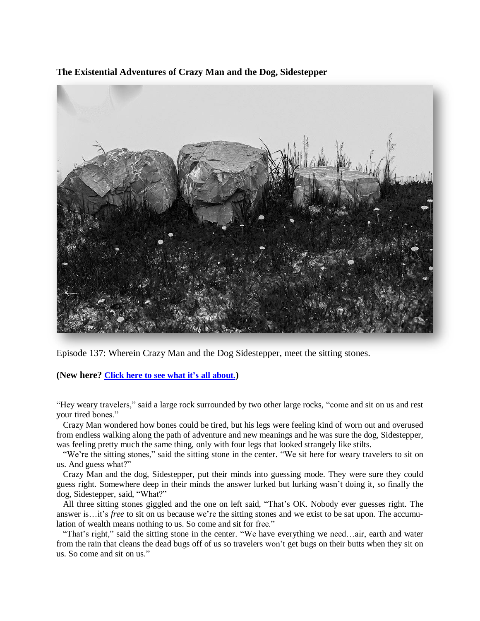**The Existential Adventures of Crazy Man and the Dog, Sidestepper**



Episode 137: Wherein Crazy Man and the Dog Sidestepper, meet the sitting stones.

**(New here? Click here to see what it's all [about.](https://biffmitchell.com/crazy-man))** 

"Hey weary travelers," said a large rock surrounded by two other large rocks, "come and sit on us and rest your tired bones."

 Crazy Man wondered how bones could be tired, but his legs were feeling kind of worn out and overused from endless walking along the path of adventure and new meanings and he was sure the dog, Sidestepper, was feeling pretty much the same thing, only with four legs that looked strangely like stilts.

 "We're the sitting stones," said the sitting stone in the center. "We sit here for weary travelers to sit on us. And guess what?"

 Crazy Man and the dog, Sidestepper, put their minds into guessing mode. They were sure they could guess right. Somewhere deep in their minds the answer lurked but lurking wasn't doing it, so finally the dog, Sidestepper, said, "What?"

 All three sitting stones giggled and the one on left said, "That's OK. Nobody ever guesses right. The answer is…it's *free* to sit on us because we're the sitting stones and we exist to be sat upon. The accumulation of wealth means nothing to us. So come and sit for free."

 "That's right," said the sitting stone in the center. "We have everything we need…air, earth and water from the rain that cleans the dead bugs off of us so travelers won't get bugs on their butts when they sit on us. So come and sit on us."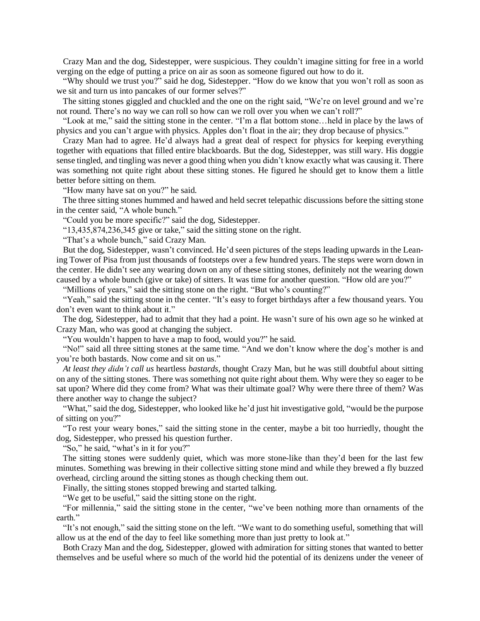Crazy Man and the dog, Sidestepper, were suspicious. They couldn't imagine sitting for free in a world verging on the edge of putting a price on air as soon as someone figured out how to do it.

 "Why should we trust you?" said he dog, Sidestepper. "How do we know that you won't roll as soon as we sit and turn us into pancakes of our former selves?"

 The sitting stones giggled and chuckled and the one on the right said, "We're on level ground and we're not round. There's no way we can roll so how can we roll over you when we can't roll?"

 "Look at me," said the sitting stone in the center. "I'm a flat bottom stone…held in place by the laws of physics and you can't argue with physics. Apples don't float in the air; they drop because of physics."

 Crazy Man had to agree. He'd always had a great deal of respect for physics for keeping everything together with equations that filled entire blackboards. But the dog, Sidestepper, was still wary. His doggie sense tingled, and tingling was never a good thing when you didn't know exactly what was causing it. There was something not quite right about these sitting stones. He figured he should get to know them a little better before sitting on them.

"How many have sat on you?" he said.

 The three sitting stones hummed and hawed and held secret telepathic discussions before the sitting stone in the center said, "A whole bunch."

"Could you be more specific?" said the dog, Sidestepper.

"13,435,874,236,345 give or take," said the sitting stone on the right.

"That's a whole bunch," said Crazy Man.

 But the dog, Sidestepper, wasn't convinced. He'd seen pictures of the steps leading upwards in the Leaning Tower of Pisa from just thousands of footsteps over a few hundred years. The steps were worn down in the center. He didn't see any wearing down on any of these sitting stones, definitely not the wearing down caused by a whole bunch (give or take) of sitters. It was time for another question. "How old are you?"

"Millions of years," said the sitting stone on the right. "But who's counting?"

 "Yeah," said the sitting stone in the center. "It's easy to forget birthdays after a few thousand years. You don't even want to think about it."

 The dog, Sidestepper, had to admit that they had a point. He wasn't sure of his own age so he winked at Crazy Man, who was good at changing the subject.

"You wouldn't happen to have a map to food, would you?" he said.

 "No!" said all three sitting stones at the same time. "And we don't know where the dog's mother is and you're both bastards. Now come and sit on us."

 *At least they didn't call us* heartless *bastards*, thought Crazy Man, but he was still doubtful about sitting on any of the sitting stones. There was something not quite right about them. Why were they so eager to be sat upon? Where did they come from? What was their ultimate goal? Why were there three of them? Was there another way to change the subject?

 "What," said the dog, Sidestepper, who looked like he'd just hit investigative gold, "would be the purpose of sitting on you?"

 "To rest your weary bones," said the sitting stone in the center, maybe a bit too hurriedly, thought the dog, Sidestepper, who pressed his question further.

"So," he said, "what's in it for you?"

 The sitting stones were suddenly quiet, which was more stone-like than they'd been for the last few minutes. Something was brewing in their collective sitting stone mind and while they brewed a fly buzzed overhead, circling around the sitting stones as though checking them out.

Finally, the sitting stones stopped brewing and started talking.

"We get to be useful," said the sitting stone on the right.

 "For millennia," said the sitting stone in the center, "we've been nothing more than ornaments of the earth."

 "It's not enough," said the sitting stone on the left. "We want to do something useful, something that will allow us at the end of the day to feel like something more than just pretty to look at."

 Both Crazy Man and the dog, Sidestepper, glowed with admiration for sitting stones that wanted to better themselves and be useful where so much of the world hid the potential of its denizens under the veneer of